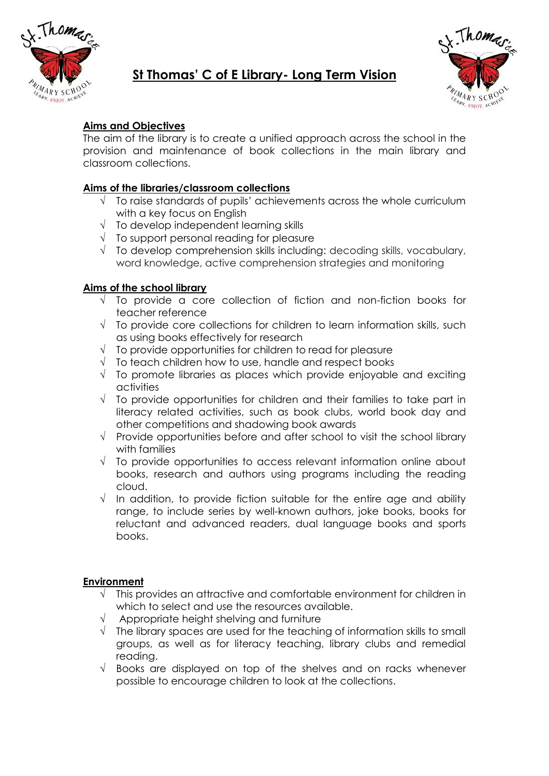

# **St Thomas' C of E Library- Long Term Vision**



# **Aims and Objectives**

The aim of the library is to create a unified approach across the school in the provision and maintenance of book collections in the main library and classroom collections.

## **Aims of the libraries/classroom collections**

- $\sqrt{ }$  To raise standards of pupils' achievements across the whole curriculum with a key focus on English
- $\sqrt{ }$  To develop independent learning skills
- $\sqrt{ }$  To support personal reading for pleasure
- $\sqrt{\phantom{a}}$  To develop comprehension skills including: decoding skills, vocabulary, word knowledge, active comprehension strategies and monitoring

## **Aims of the school library**

- $\sqrt{ }$  To provide a core collection of fiction and non-fiction books for teacher reference
- $\sqrt{ }$  To provide core collections for children to learn information skills, such as using books effectively for research
- $\sqrt{ }$  To provide opportunities for children to read for pleasure
- $\sqrt{ }$  To teach children how to use, handle and respect books
- $\sqrt{ }$  To promote libraries as places which provide enjoyable and exciting activities
- $\sqrt{ }$  To provide opportunities for children and their families to take part in literacy related activities, such as book clubs, world book day and other competitions and shadowing book awards
- $\sqrt{ }$  Provide opportunities before and after school to visit the school library with families
- $\sqrt{ }$  To provide opportunities to access relevant information online about books, research and authors using programs including the reading cloud.
- $\sqrt{ }$  In addition, to provide fiction suitable for the entire age and ability range, to include series by well-known authors, joke books, books for reluctant and advanced readers, dual language books and sports books.

## **Environment**

- $\sqrt{ }$  This provides an attractive and comfortable environment for children in which to select and use the resources available.
- $\sqrt{ }$  Appropriate height shelving and furniture
- $\sqrt{\phantom{a}}$  The library spaces are used for the teaching of information skills to small groups, as well as for literacy teaching, library clubs and remedial reading.
- $\sqrt{ }$  Books are displayed on top of the shelves and on racks whenever possible to encourage children to look at the collections.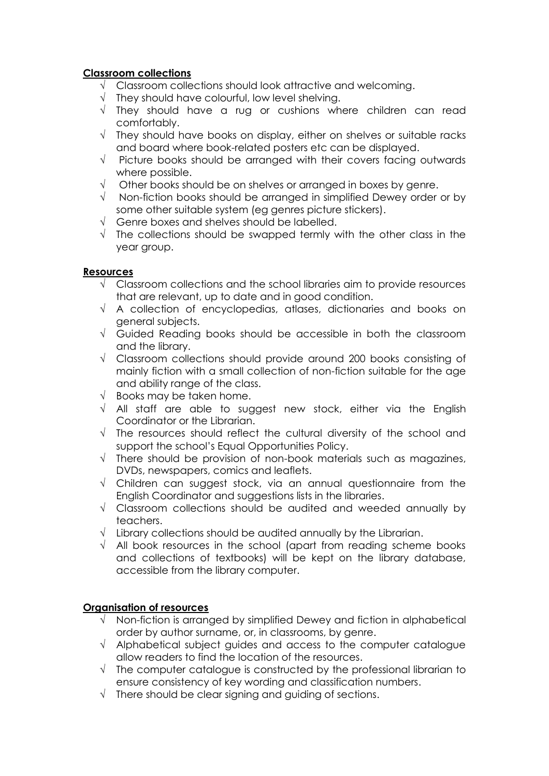## **Classroom collections**

- $\sqrt{\phantom{a}}$  Classroom collections should look attractive and welcoming.
- $\sqrt{\phantom{a}}$  They should have colourful, low level shelving.
- $\sqrt{ }$  They should have a rug or cushions where children can read comfortably.
- $\sqrt{ }$  They should have books on display, either on shelves or suitable racks and board where book-related posters etc can be displayed.
- $\sqrt{ }$  Picture books should be arranged with their covers facing outwards where possible.
- $\sqrt{\phantom{a}}$  Other books should be on shelves or arranged in boxes by genre.
- $\sqrt{ }$  Non-fiction books should be arranged in simplified Dewey order or by some other suitable system (eg genres picture stickers).
- $\sqrt{\phantom{a}}$  Genre boxes and shelves should be labelled.
- $\sqrt{ }$  The collections should be swapped termly with the other class in the year group.

## **Resources**

- $\sqrt{\phantom{a}}$  Classroom collections and the school libraries aim to provide resources that are relevant, up to date and in good condition.
- $\sqrt{ }$  A collection of encyclopedias, atlases, dictionaries and books on general subjects.
- $\sqrt{ }$  Guided Reading books should be accessible in both the classroom and the library.
- $\sqrt{\phantom{a}}$  Classroom collections should provide around 200 books consisting of mainly fiction with a small collection of non-fiction suitable for the age and ability range of the class.
- $\sqrt{ }$  Books may be taken home.
- $\sqrt{\phantom{a}}$  All staff are able to suggest new stock, either via the English Coordinator or the Librarian.
- $\sqrt{ }$  The resources should reflect the cultural diversity of the school and support the school's Equal Opportunities Policy.
- $\sqrt{ }$  There should be provision of non-book materials such as magazines, DVDs, newspapers, comics and leaflets.
- $\sqrt{ }$  Children can suggest stock, via an annual questionnaire from the English Coordinator and suggestions lists in the libraries.
- $\sqrt{ }$  Classroom collections should be audited and weeded annually by teachers.
- $\sqrt{\phantom{a}}$  Library collections should be audited annually by the Librarian.
- $\sqrt{\phantom{a}}$  All book resources in the school (apart from reading scheme books and collections of textbooks) will be kept on the library database, accessible from the library computer.

## **Organisation of resources**

- $\sqrt{\phantom{a}}$  Non-fiction is arranged by simplified Dewey and fiction in alphabetical order by author surname, or, in classrooms, by genre.
- $\sqrt{ }$  Alphabetical subject guides and access to the computer catalogue allow readers to find the location of the resources.
- $\sqrt{ }$  The computer catalogue is constructed by the professional librarian to ensure consistency of key wording and classification numbers.
- $\sqrt{\phantom{a}}$  There should be clear signing and guiding of sections.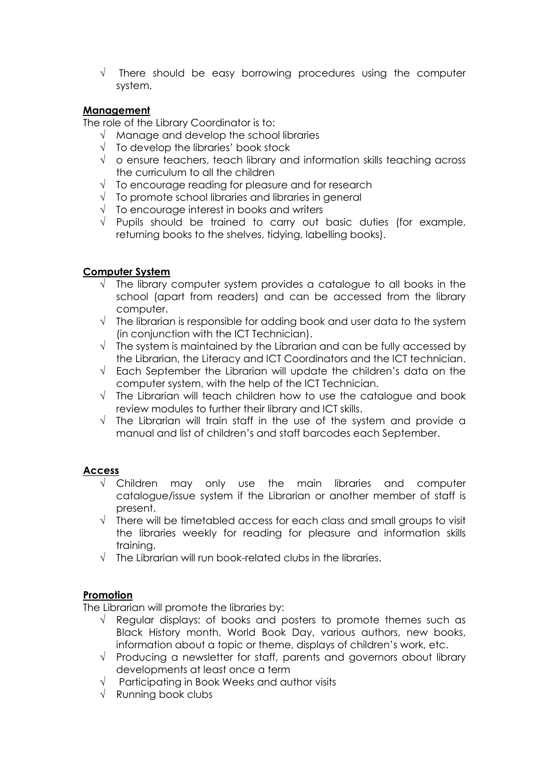$\sqrt{ }$  There should be easy borrowing procedures using the computer system.

## **Management**

The role of the Library Coordinator is to:

- $\sqrt{\phantom{a}}$  Manage and develop the school libraries
- $\sqrt{ }$  To develop the libraries' book stock
- $\sqrt{\phantom{a}}$  o ensure teachers, teach library and information skills teaching across the curriculum to all the children
- $\sqrt{ }$  To encourage reading for pleasure and for research
- $\sqrt{\phantom{a}}$  To promote school libraries and libraries in general
- $\sqrt{ }$  To encourage interest in books and writers
- $\sqrt{ }$  Pupils should be trained to carry out basic duties (for example, returning books to the shelves, tidying, labelling books).

## **Computer System**

- $\sqrt{ }$  The library computer system provides a catalogue to all books in the school (apart from readers) and can be accessed from the library computer.
- $\sqrt{\phantom{a}}$  The librarian is responsible for adding book and user data to the system (in conjunction with the ICT Technician).
- $\sqrt{ }$  The system is maintained by the Librarian and can be fully accessed by the Librarian, the Literacy and ICT Coordinators and the ICT technician.
- $\sqrt{\phantom{a}}$  Each September the Librarian will update the children's data on the computer system, with the help of the ICT Technician.
- $\sqrt{ }$  The Librarian will teach children how to use the catalogue and book review modules to further their library and ICT skills.
- $\sqrt{ }$  The Librarian will train staff in the use of the system and provide a manual and list of children's and staff barcodes each September.

#### **Access**

- Children may only use the main libraries and computer catalogue/issue system if the Librarian or another member of staff is present.
- $\sqrt{\phantom{a}}$  There will be timetabled access for each class and small groups to visit the libraries weekly for reading for pleasure and information skills training.
- $\sqrt{\phantom{a}}$  The Librarian will run book-related clubs in the libraries.

## **Promotion**

The Librarian will promote the libraries by:

- $\sqrt{\ }$  Regular displays: of books and posters to promote themes such as Black History month, World Book Day, various authors, new books, information about a topic or theme, displays of children's work, etc.
- $\sqrt{ }$  Producing a newsletter for staff, parents and governors about library developments at least once a term
- $\sqrt{ }$  Participating in Book Weeks and author visits
- $\sqrt{\phantom{a}}$  Running book clubs